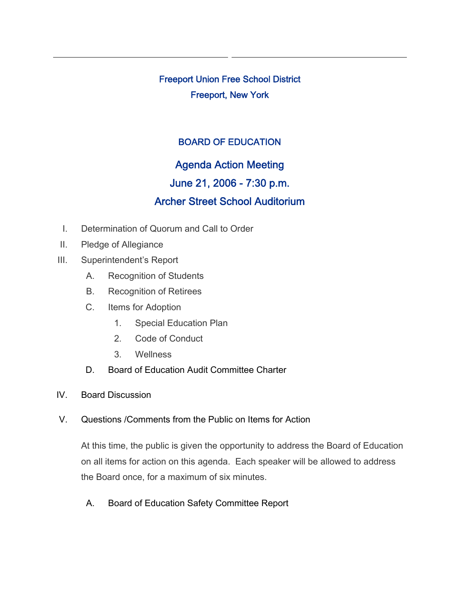Freeport Union Free School District Freeport, New York

## BOARD OF EDUCATION

# Agenda Action Meeting

## June 21, 2006 - 7:30 p.m.

# Archer Street School Auditorium

- I. Determination of Quorum and Call to Order
- II. Pledge of Allegiance
- III. Superintendent's Report
	- A. Recognition of Students
	- B. Recognition of Retirees
	- C. Items for Adoption
		- 1. Special Education Plan
		- 2. Code of Conduct
		- 3. Wellness
	- D. Board of Education Audit Committee Charter
- IV. Board Discussion
- V. Questions /Comments from the Public on Items for Action

At this time, the public is given the opportunity to address the Board of Education on all items for action on this agenda. Each speaker will be allowed to address the Board once, for a maximum of six minutes.

A. Board of Education Safety Committee Report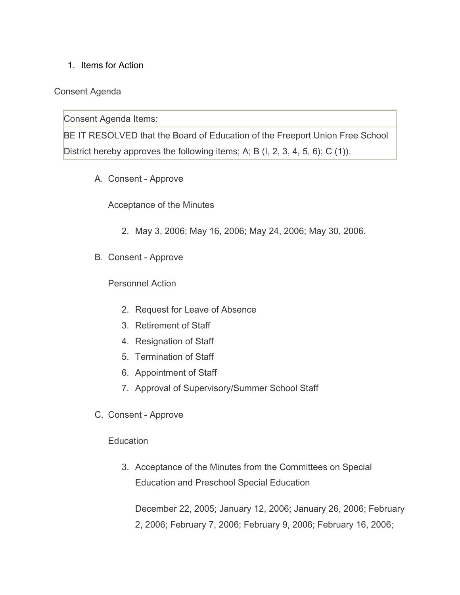1. Items for Action

#### Consent Agenda

Consent Agenda Items:

BE IT RESOLVED that the Board of Education of the Freeport Union Free School District hereby approves the following items; A; B (I, 2, 3, 4, 5, 6); C (1)).

A. Consent - Approve

Acceptance of the Minutes

- 2. May 3, 2006; May 16, 2006; May 24, 2006; May 30, 2006.
- B. Consent Approve

Personnel Action

- 2. Request for Leave of Absence
- 3. Retirement of Staff
- 4. Resignation of Staff
- 5. Termination of Staff
- 6. Appointment of Staff
- 7. Approval of Supervisory/Summer School Staff
- C. Consent Approve

#### **Education**

3. Acceptance of the Minutes from the Committees on Special Education and Preschool Special Education

December 22, 2005; January 12, 2006; January 26, 2006; February 2, 2006; February 7, 2006; February 9, 2006; February 16, 2006;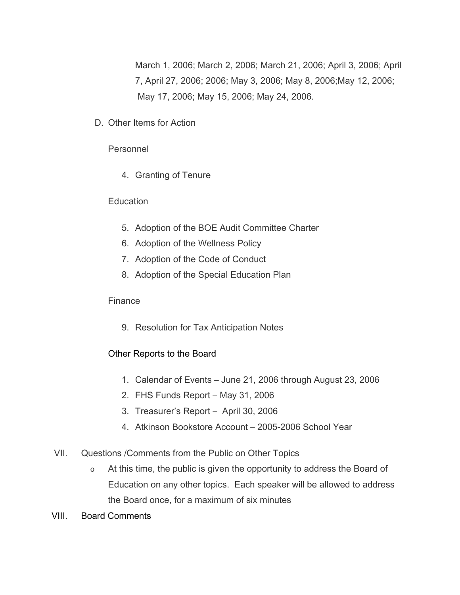March 1, 2006; March 2, 2006; March 21, 2006; April 3, 2006; April 7, April 27, 2006; 2006; May 3, 2006; May 8, 2006;May 12, 2006; May 17, 2006; May 15, 2006; May 24, 2006.

D. Other Items for Action

### Personnel

4. Granting of Tenure

### **Education**

- 5. Adoption of the BOE Audit Committee Charter
- 6. Adoption of the Wellness Policy
- 7. Adoption of the Code of Conduct
- 8. Adoption of the Special Education Plan

#### Finance

9. Resolution for Tax Anticipation Notes

## Other Reports to the Board

- 1. Calendar of Events June 21, 2006 through August 23, 2006
- 2. FHS Funds Report May 31, 2006
- 3. Treasurer's Report April 30, 2006
- 4. Atkinson Bookstore Account 2005-2006 School Year
- VII. Questions /Comments from the Public on Other Topics
	- o At this time, the public is given the opportunity to address the Board of Education on any other topics. Each speaker will be allowed to address the Board once, for a maximum of six minutes
- VIII. Board Comments